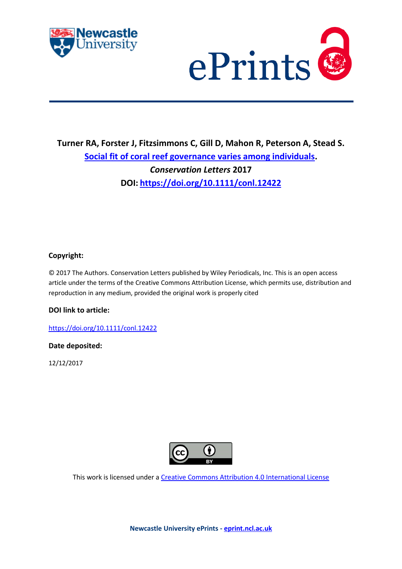



## **Turner RA, Forster J, Fitzsimmons C, Gill D, Mahon R, Peterson A, Stead S. [Social fit of coral reef governance varies among individuals.](https://myimpact.ncl.ac.uk/ViewPublication.aspx?id=243720)**  *Conservation Letters* **2017 DOI: <https://doi.org/10.1111/conl.12422>**

## **Copyright:**

© 2017 The Authors. Conservation Letters published by Wiley Periodicals, Inc. This is an open access article under the terms of the Creative Commons Attribution License, which permits use, distribution and reproduction in any medium, provided the original work is properly cited

## **DOI link to article:**

<https://doi.org/10.1111/conl.12422>

## **Date deposited:**

12/12/2017



This work is licensed under [a Creative Commons Attribution 4.0 International License](http://creativecommons.org/licenses/by/4.0/)

**Newcastle University ePrints - [eprint.ncl.ac.uk](http://eprint.ncl.ac.uk/)**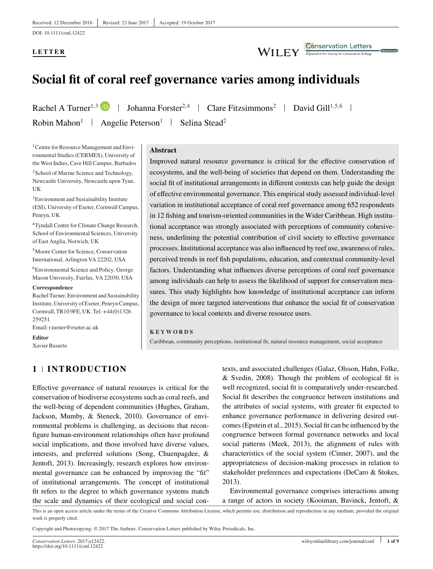DOI: 10.1111/conl.12422

## **LETTER**

#### **Conservation Letters**<br>A journal of the Society for Conservation Biology **WILEY**

# **Social fit of coral reef governance varies among individuals**

Rachel A Turner<sup>1,3</sup> D | Johanna Forster<sup>2,4</sup> | Clare Fitzsimmons<sup>2</sup> | David Gill<sup>1,5,6</sup> | Robin Mahon<sup>1</sup> | Angelie Peterson<sup>1</sup> | Selina Stead<sup>2</sup>

1Centre for Resource Management and Environmental Studies (CERMES), University of the West Indies, Cave Hill Campus, Barbados

<sup>2</sup>School of Marine Science and Technology, Newcastle University, Newcastle upon Tyne, UK

3Environment and Sustainability Institute (ESI), University of Exeter, Cornwall Campus, Penryn, UK

4Tyndall Centre for Climate Change Research, School of Environmental Sciences, University of East Anglia, Norwich, UK

5Moore Center for Science, Conservation International, Arlington VA 22202, USA

6Environmental Science and Policy, George Mason University, Fairfax, VA 22030, USA

#### **Correspondence**

Rachel Turner, Environment and Sustainability Institute, University of Exeter, Penryn Campus, Cornwall, TR10 9FE, UK. Tel:+44(0)1326 259251

**1 INTRODUCTION**

Email: r.turner@exeter.ac.uk

**Editor**

Xavier Basurto

#### **Abstract**

Improved natural resource governance is critical for the effective conservation of ecosystems, and the well-being of societies that depend on them. Understanding the social fit of institutional arrangements in different contexts can help guide the design of effective environmental governance. This empirical study assessed individual-level variation in institutional acceptance of coral reef governance among 652 respondents in 12 fishing and tourism-oriented communities in the Wider Caribbean. High institutional acceptance was strongly associated with perceptions of community cohesiveness, underlining the potential contribution of civil society to effective governance processes. Institutional acceptance was also influenced by reef use, awareness of rules, perceived trends in reef fish populations, education, and contextual community-level factors. Understanding what influences diverse perceptions of coral reef governance among individuals can help to assess the likelihood of support for conservation measures. This study highlights how knowledge of institutional acceptance can inform the design of more targeted interventions that enhance the social fit of conservation governance to local contexts and diverse resource users.

#### **KEYWORDS**

Caribbean, community perceptions, institutional fit, natural resource management, social acceptance

Effective governance of natural resources is critical for the conservation of biodiverse ecosystems such as coral reefs, and the well-being of dependent communities (Hughes, Graham, Jackson, Mumby, & Steneck, 2010). Governance of environmental problems is challenging, as decisions that reconfigure human-environment relationships often have profound social implications, and those involved have diverse values, interests, and preferred solutions (Song, Chuenpagdee, & Jentoft, 2013). Increasingly, research explores how environmental governance can be enhanced by improving the "fit" of institutional arrangements. The concept of institutional fit refers to the degree to which governance systems match the scale and dynamics of their ecological and social contexts, and associated challenges (Galaz, Olsson, Hahn, Folke, & Svedin, 2008). Though the problem of ecological fit is well recognized, social fit is comparatively under-researched. Social fit describes the congruence between institutions and the attributes of social systems, with greater fit expected to enhance governance performance in delivering desired outcomes (Epstein et al., 2015). Social fit can be influenced by the congruence between formal governance networks and local social patterns (Meek, 2013), the alignment of rules with characteristics of the social system (Cinner, 2007), and the appropriateness of decision-making processes in relation to stakeholder preferences and expectations (DeCaro & Stokes, 2013).

Environmental governance comprises interactions among a range of actors in society (Kooiman, Bavinck, Jentoft, &

This is an open access article under the terms of the [Creative Commons Attribution](http://creativecommons.org/licenses/by/4.0/) License, which permits use, distribution and reproduction in any medium, provided the original work is properly cited.

Copyright and Photocopying: © 2017 The Authors. Conservation Letters published by Wiley Periodicals, Inc.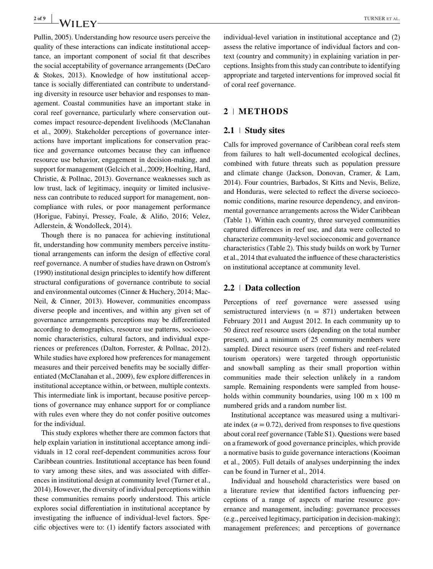Pullin, 2005). Understanding how resource users perceive the quality of these interactions can indicate institutional acceptance, an important component of social fit that describes the social acceptability of governance arrangements (DeCaro & Stokes, 2013). Knowledge of how institutional acceptance is socially differentiated can contribute to understanding diversity in resource user behavior and responses to management. Coastal communities have an important stake in coral reef governance, particularly where conservation outcomes impact resource-dependent livelihoods (McClanahan et al., 2009). Stakeholder perceptions of governance interactions have important implications for conservation practice and governance outcomes because they can influence resource use behavior, engagement in decision-making, and support for management (Gelcich et al., 2009; Hoelting, Hard, Christie, & Pollnac, 2013). Governance weaknesses such as low trust, lack of legitimacy, inequity or limited inclusiveness can contribute to reduced support for management, noncompliance with rules, or poor management performance (Horigue, Fabinyi, Pressey, Foale, & Aliño, 2016; Velez, Adlerstein, & Wondolleck, 2014).

Though there is no panacea for achieving institutional fit, understanding how community members perceive institutional arrangements can inform the design of effective coral reef governance. A number of studies have drawn on Ostrom's (1990) institutional design principles to identify how different structural configurations of governance contribute to social and environmental outcomes (Cinner & Huchery, 2014; Mac-Neil, & Cinner, 2013). However, communities encompass diverse people and incentives, and within any given set of governance arrangements perceptions may be differentiated according to demographics, resource use patterns, socioeconomic characteristics, cultural factors, and individual experiences or preferences (Dalton, Forrester, & Pollnac, 2012). While studies have explored how preferences for management measures and their perceived benefits may be socially differentiated (McClanahan et al., 2009), few explore differences in institutional acceptance within, or between, multiple contexts. This intermediate link is important, because positive perceptions of governance may enhance support for or compliance with rules even where they do not confer positive outcomes for the individual.

This study explores whether there are common factors that help explain variation in institutional acceptance among individuals in 12 coral reef-dependent communities across four Caribbean countries. Institutional acceptance has been found to vary among these sites, and was associated with differences in institutional design at community level (Turner et al., 2014). However, the diversity of individual perceptions within these communities remains poorly understood. This article explores social differentiation in institutional acceptance by investigating the influence of individual-level factors. Specific objectives were to: (1) identify factors associated with

individual-level variation in institutional acceptance and (2) assess the relative importance of individual factors and context (country and community) in explaining variation in perceptions. Insights from this study can contribute to identifying appropriate and targeted interventions for improved social fit of coral reef governance.

#### **2 METHODS**

#### **2.1 Study sites**

Calls for improved governance of Caribbean coral reefs stem from failures to halt well-documented ecological declines, combined with future threats such as population pressure and climate change (Jackson, Donovan, Cramer, & Lam, 2014). Four countries, Barbados, St Kitts and Nevis, Belize, and Honduras, were selected to reflect the diverse socioeconomic conditions, marine resource dependency, and environmental governance arrangements across the Wider Caribbean (Table 1). Within each country, three surveyed communities captured differences in reef use, and data were collected to characterize community-level socioeconomic and governance characteristics (Table 2). This study builds on work by Turner et al., 2014 that evaluated the influence of these characteristics on institutional acceptance at community level.

#### **2.2 Data collection**

Perceptions of reef governance were assessed using semistructured interviews ( $n = 871$ ) undertaken between February 2011 and August 2012. In each community up to 50 direct reef resource users (depending on the total number present), and a minimum of 25 community members were sampled. Direct resource users (reef fishers and reef-related tourism operators) were targeted through opportunistic and snowball sampling as their small proportion within communities made their selection unlikely in a random sample. Remaining respondents were sampled from households within community boundaries, using 100 m x 100 m numbered grids and a random number list.

Institutional acceptance was measured using a multivariate index ( $\alpha = 0.72$ ), derived from responses to five questions about coral reef governance (Table S1). Questions were based on a framework of good governance principles, which provide a normative basis to guide governance interactions (Kooiman et al., 2005). Full details of analyses underpinning the index can be found in Turner et al., 2014.

Individual and household characteristics were based on a literature review that identified factors influencing perceptions of a range of aspects of marine resource governance and management, including: governance processes (e.g., perceived legitimacy, participation in decision-making); management preferences; and perceptions of governance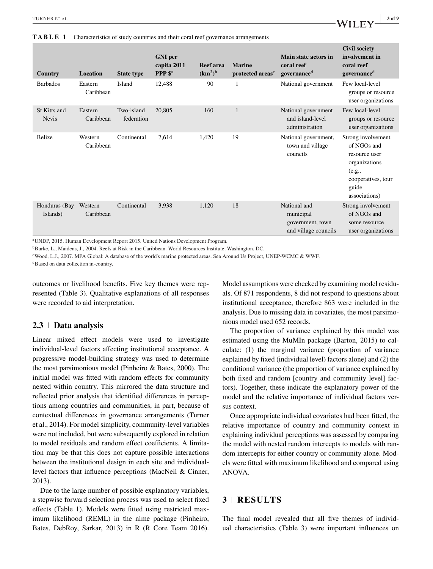**TABLE 1** Characteristics of study countries and their coral reef governance arrangements

| Country                      | Location             | <b>State type</b>        | <b>GNI</b> per<br>capita 2011<br>PPP <sup>\$a</sup> | <b>Reef</b> area<br>(km <sup>2</sup> ) <sup>b</sup> | <b>Marine</b><br>protected areas <sup>c</sup> | Main state actors in<br>coral reef<br>governance <sup>d</sup>         | <b>Civil society</b><br>involvement in<br>coral reef<br>governance <sup>d</sup>                                               |
|------------------------------|----------------------|--------------------------|-----------------------------------------------------|-----------------------------------------------------|-----------------------------------------------|-----------------------------------------------------------------------|-------------------------------------------------------------------------------------------------------------------------------|
| <b>Barbados</b>              | Eastern<br>Caribbean | Island                   | 12,488                                              | 90                                                  | 1                                             | National government                                                   | Few local-level<br>groups or resource<br>user organizations                                                                   |
| St Kitts and<br><b>Nevis</b> | Eastern<br>Caribbean | Two-island<br>federation | 20,805                                              | 160                                                 | $\mathbf{1}$                                  | National government<br>and island-level<br>administration             | Few local-level<br>groups or resource<br>user organizations                                                                   |
| <b>Belize</b>                | Western<br>Caribbean | Continental              | 7,614                                               | 1,420                                               | 19                                            | National government,<br>town and village<br>councils                  | Strong involvement<br>of NGOs and<br>resource user<br>organizations<br>(e.g.,<br>cooperatives, tour<br>guide<br>associations) |
| Honduras (Bay<br>Islands)    | Western<br>Caribbean | Continental              | 3,938                                               | 1,120                                               | 18                                            | National and<br>municipal<br>government, town<br>and village councils | Strong involvement<br>of NGOs and<br>some resource<br>user organizations                                                      |

aUNDP, 2015. Human Development Report 2015. United Nations Development Program.

<sup>b</sup>Burke, L., Maidens, J., 2004. Reefs at Risk in the Caribbean. World Resources Institute, Washington, DC.

cWood, L.J., 2007. MPA Global: A database of the world's marine protected areas. Sea Around Us Project, UNEP-WCMC & WWF.

<sup>d</sup>Based on data collection in-country.

outcomes or livelihood benefits. Five key themes were represented (Table 3). Qualitative explanations of all responses were recorded to aid interpretation.

#### **2.3 Data analysis**

Linear mixed effect models were used to investigate individual-level factors affecting institutional acceptance. A progressive model-building strategy was used to determine the most parsimonious model (Pinheiro & Bates, 2000). The initial model was fitted with random effects for community nested within country. This mirrored the data structure and reflected prior analysis that identified differences in perceptions among countries and communities, in part, because of contextual differences in governance arrangements (Turner et al., 2014). For model simplicity, community-level variables were not included, but were subsequently explored in relation to model residuals and random effect coefficients. A limitation may be that this does not capture possible interactions between the institutional design in each site and individuallevel factors that influence perceptions (MacNeil & Cinner, 2013).

Due to the large number of possible explanatory variables, a stepwise forward selection process was used to select fixed effects (Table 1). Models were fitted using restricted maximum likelihood (REML) in the nlme package (Pinheiro, Bates, DebRoy, Sarkar, 2013) in R (R Core Team 2016). Model assumptions were checked by examining model residuals. Of 871 respondents, 8 did not respond to questions about institutional acceptance, therefore 863 were included in the analysis. Due to missing data in covariates, the most parsimonious model used 652 records.

The proportion of variance explained by this model was estimated using the MuMIn package (Barton, 2015) to calculate: (1) the marginal variance (proportion of variance explained by fixed (individual level) factors alone) and (2) the conditional variance (the proportion of variance explained by both fixed and random [country and community level] factors). Together, these indicate the explanatory power of the model and the relative importance of individual factors versus context.

Once appropriate individual covariates had been fitted, the relative importance of country and community context in explaining individual perceptions was assessed by comparing the model with nested random intercepts to models with random intercepts for either country or community alone. Models were fitted with maximum likelihood and compared using ANOVA.

### **3 RESULTS**

The final model revealed that all five themes of individual characteristics (Table 3) were important influences on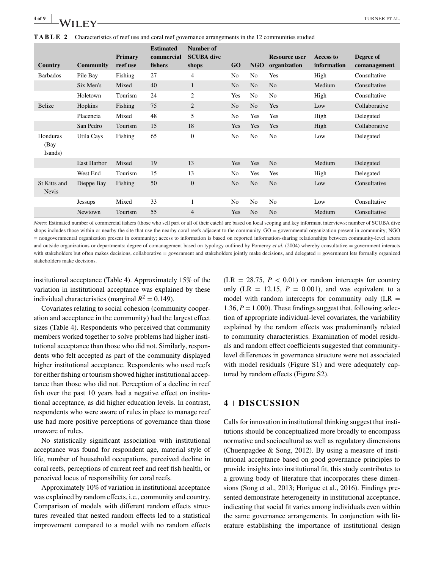

| Country                      | <b>Community</b>   | Primary<br>reef use | <b>Estimated</b><br>commercial<br>fishers | Number of<br><b>SCUBA</b> dive<br>shops | <b>GO</b>      | <b>NGO</b>     | <b>Resource user</b><br>organization | <b>Access to</b><br>information | Degree of<br>comanagement |
|------------------------------|--------------------|---------------------|-------------------------------------------|-----------------------------------------|----------------|----------------|--------------------------------------|---------------------------------|---------------------------|
| <b>Barbados</b>              | Pile Bay           | Fishing             | 27                                        | 4                                       | N <sub>o</sub> | N <sub>0</sub> | Yes                                  | High                            | Consultative              |
|                              | Six Men's          | Mixed               | 40                                        | $\mathbf{1}$                            | N <sub>o</sub> | No             | N <sub>o</sub>                       | Medium                          | Consultative              |
|                              | Holetown           | Tourism             | 24                                        | 2                                       | Yes            | N <sub>0</sub> | N <sub>0</sub>                       | High                            | Consultative              |
| Belize                       | Hopkins            | Fishing             | 75                                        | $\overline{2}$                          | N <sub>o</sub> | N <sub>o</sub> | Yes                                  | Low                             | Collaborative             |
|                              | Placencia          | Mixed               | 48                                        | 5                                       | N <sub>o</sub> | Yes            | Yes                                  | High                            | Delegated                 |
|                              | San Pedro          | Tourism             | 15                                        | 18                                      | Yes            | Yes            | Yes                                  | High                            | Collaborative             |
| Honduras<br>(Bay<br>Isands)  | Utila Cays         | Fishing             | 65                                        | $\mathbf{0}$                            | N <sub>o</sub> | N <sub>o</sub> | N <sub>o</sub>                       | Low                             | Delegated                 |
|                              | <b>East Harbor</b> | Mixed               | 19                                        | 13                                      | Yes            | Yes            | N <sub>o</sub>                       | Medium                          | Delegated                 |
|                              | West End           | Tourism             | 15                                        | 13                                      | N <sub>o</sub> | Yes            | Yes                                  | High                            | Delegated                 |
| St Kitts and<br><b>Nevis</b> | Dieppe Bay         | Fishing             | 50                                        | $\mathbf{0}$                            | N <sub>o</sub> | N <sub>o</sub> | N <sub>o</sub>                       | Low                             | Consultative              |
|                              | <b>Jessups</b>     | Mixed               | 33                                        | 1                                       | N <sub>o</sub> | N <sub>0</sub> | N <sub>0</sub>                       | Low                             | Consultative              |
|                              | Newtown            | Tourism             | 55                                        | $\overline{4}$                          | Yes            | N <sub>o</sub> | N <sub>o</sub>                       | Medium                          | Consultative              |

*Notes*: Estimated number of commercial fishers (those who sell part or all of their catch) are based on local scoping and key informant interviews; number of SCUBA dive shops includes those within or nearby the site that use the nearby coral reefs adjacent to the community. GO = governmental organization present in community; NGO = nongovernmental organization present in community; access to information is based on reported information-sharing relationships between community-level actors and outside organizations or departments; degree of comanagement based on typology outlined by Pomeroy *et al.* (2004) whereby consultative = government interacts with stakeholders but often makes decisions, collaborative = government and stakeholders jointly make decisions, and delegated = government lets formally organized stakeholders make decisions.

institutional acceptance (Table 4). Approximately 15% of the variation in institutional acceptance was explained by these individual characteristics (marginal  $R^2 = 0.149$ ).

Covariates relating to social cohesion (community cooperation and acceptance in the community) had the largest effect sizes (Table 4). Respondents who perceived that community members worked together to solve problems had higher institutional acceptance than those who did not. Similarly, respondents who felt accepted as part of the community displayed higher institutional acceptance. Respondents who used reefs for either fishing or tourism showed higher institutional acceptance than those who did not. Perception of a decline in reef fish over the past 10 years had a negative effect on institutional acceptance, as did higher education levels. In contrast, respondents who were aware of rules in place to manage reef use had more positive perceptions of governance than those unaware of rules.

No statistically significant association with institutional acceptance was found for respondent age, material style of life, number of household occupations, perceived decline in coral reefs, perceptions of current reef and reef fish health, or perceived locus of responsibility for coral reefs.

Approximately 10% of variation in institutional acceptance was explained by random effects, i.e., community and country. Comparison of models with different random effects structures revealed that nested random effects led to a statistical improvement compared to a model with no random effects  $(LR = 28.75, P < 0.01)$  or random intercepts for country only (LR = 12.15,  $P = 0.001$ ), and was equivalent to a model with random intercepts for community only  $(LR =$ 1.36,  $P = 1.000$ ). These findings suggest that, following selection of appropriate individual-level covariates, the variability explained by the random effects was predominantly related to community characteristics. Examination of model residuals and random effect coefficients suggested that communitylevel differences in governance structure were not associated with model residuals (Figure S1) and were adequately captured by random effects (Figure S2).

#### **4 DISCUSSION**

Calls for innovation in institutional thinking suggest that institutions should be conceptualized more broadly to encompass normative and sociocultural as well as regulatory dimensions (Chuenpagdee & Song, 2012). By using a measure of institutional acceptance based on good governance principles to provide insights into institutional fit, this study contributes to a growing body of literature that incorporates these dimensions (Song et al., 2013; Horigue et al., 2016). Findings presented demonstrate heterogeneity in institutional acceptance, indicating that social fit varies among individuals even within the same governance arrangements. In conjunction with literature establishing the importance of institutional design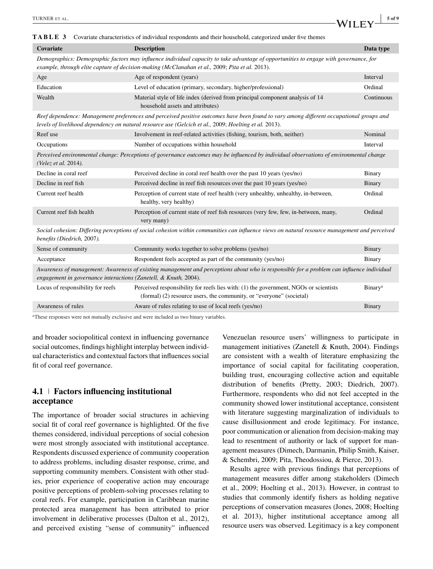| TABLE 3                                                                                                                                                                                                                                          | Covariate characteristics of individual respondents and their household, categorized under five themes                                                       |                            |  |  |  |  |  |
|--------------------------------------------------------------------------------------------------------------------------------------------------------------------------------------------------------------------------------------------------|--------------------------------------------------------------------------------------------------------------------------------------------------------------|----------------------------|--|--|--|--|--|
| Covariate                                                                                                                                                                                                                                        | <b>Description</b>                                                                                                                                           | Data type                  |  |  |  |  |  |
| Demographics: Demographic factors may influence individual capacity to take advantage of opportunities to engage with governance, for<br>example, through elite capture of decision-making (McClanahan et al., 2009; Pita et al. 2013).          |                                                                                                                                                              |                            |  |  |  |  |  |
| Age                                                                                                                                                                                                                                              | Age of respondent (years)                                                                                                                                    | Interval                   |  |  |  |  |  |
| Education                                                                                                                                                                                                                                        | Level of education (primary, secondary, higher/professional)                                                                                                 | Ordinal                    |  |  |  |  |  |
| Wealth                                                                                                                                                                                                                                           | Material style of life index (derived from principal component analysis of 14<br>household assets and attributes)                                            | Continuous                 |  |  |  |  |  |
| Reef dependence: Management preferences and perceived positive outcomes have been found to vary among different occupational groups and<br>levels of livelihood dependency on natural resource use (Gelcich et al., 2009; Hoelting et al. 2013). |                                                                                                                                                              |                            |  |  |  |  |  |
| Reef use                                                                                                                                                                                                                                         | Involvement in reef-related activities (fishing, tourism, both, neither)                                                                                     | Nominal                    |  |  |  |  |  |
| Occupations                                                                                                                                                                                                                                      | Number of occupations within household                                                                                                                       | Interval                   |  |  |  |  |  |
| Perceived environmental change: Perceptions of governance outcomes may be influenced by individual observations of environmental change<br>(Velez et al. 2014).                                                                                  |                                                                                                                                                              |                            |  |  |  |  |  |
| Decline in coral reef                                                                                                                                                                                                                            | Perceived decline in coral reef health over the past 10 years (yes/no)                                                                                       | Binary                     |  |  |  |  |  |
| Decline in reef fish                                                                                                                                                                                                                             | Perceived decline in reef fish resources over the past 10 years (yes/no)                                                                                     | Binary                     |  |  |  |  |  |
| Current reef health                                                                                                                                                                                                                              | Perception of current state of reef health (very unhealthy, unhealthy, in-between,<br>healthy, very healthy)                                                 | Ordinal                    |  |  |  |  |  |
| Current reef fish health                                                                                                                                                                                                                         | Perception of current state of reef fish resources (very few, few, in-between, many,<br>very many)                                                           | Ordinal                    |  |  |  |  |  |
| Social cohesion: Differing perceptions of social cohesion within communities can influence views on natural resource management and perceived<br>benefits (Diedrich, 2007).                                                                      |                                                                                                                                                              |                            |  |  |  |  |  |
| Sense of community                                                                                                                                                                                                                               | Community works together to solve problems (yes/no)                                                                                                          | Binary                     |  |  |  |  |  |
| Acceptance                                                                                                                                                                                                                                       | Respondent feels accepted as part of the community (yes/no)                                                                                                  | Binary                     |  |  |  |  |  |
| Awareness of management: Awareness of existing management and perceptions about who is responsible for a problem can influence individual<br>engagement in governance interactions (Zanetell, & Knuth, 2004).                                    |                                                                                                                                                              |                            |  |  |  |  |  |
| Locus of responsibility for reefs                                                                                                                                                                                                                | Perceived responsibility for reefs lies with: (1) the government, NGOs or scientists<br>(formal) (2) resource users, the community, or "everyone" (societal) | <b>Binary</b> <sup>a</sup> |  |  |  |  |  |
| Awareness of rules                                                                                                                                                                                                                               | Aware of rules relating to use of local reefs (yes/no)                                                                                                       | Binary                     |  |  |  |  |  |
|                                                                                                                                                                                                                                                  |                                                                                                                                                              |                            |  |  |  |  |  |

<sup>a</sup>These responses were not mutually exclusive and were included as two binary variables.

and broader sociopolitical context in influencing governance social outcomes, findings highlight interplay between individual characteristics and contextual factors that influences social fit of coral reef governance.

### **4.1 Factors influencing institutional acceptance**

The importance of broader social structures in achieving social fit of coral reef governance is highlighted. Of the five themes considered, individual perceptions of social cohesion were most strongly associated with institutional acceptance. Respondents discussed experience of community cooperation to address problems, including disaster response, crime, and supporting community members. Consistent with other studies, prior experience of cooperative action may encourage positive perceptions of problem-solving processes relating to coral reefs. For example, participation in Caribbean marine protected area management has been attributed to prior involvement in deliberative processes (Dalton et al., 2012), and perceived existing "sense of community" influenced

Venezuelan resource users' willingness to participate in management initiatives (Zanetell & Knuth, 2004). Findings are consistent with a wealth of literature emphasizing the importance of social capital for facilitating cooperation, building trust, encouraging collective action and equitable distribution of benefits (Pretty, 2003; Diedrich, 2007). Furthermore, respondents who did not feel accepted in the community showed lower institutional acceptance, consistent with literature suggesting marginalization of individuals to cause disillusionment and erode legitimacy. For instance, poor communication or alienation from decision-making may lead to resentment of authority or lack of support for management measures (Dimech, Darmanin, Philip Smith, Kaiser, & Schembri, 2009; Pita, Theodossiou, & Pierce, 2013).

Results agree with previous findings that perceptions of management measures differ among stakeholders (Dimech et al., 2009; Hoelting et al., 2013). However, in contrast to studies that commonly identify fishers as holding negative perceptions of conservation measures (Jones, 2008; Hoelting et al. 2013), higher institutional acceptance among all resource users was observed. Legitimacy is a key component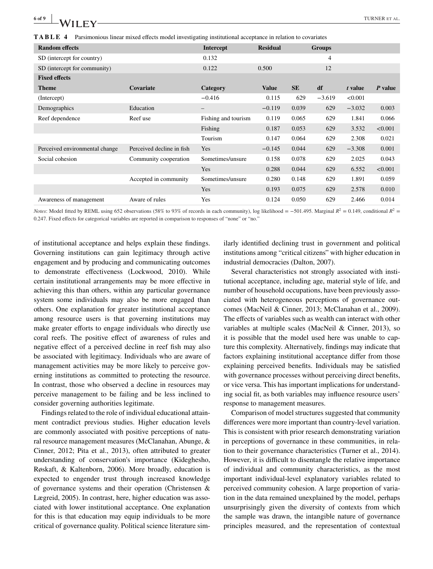**TABLE 4** Parsimonious linear mixed effects model investigating institutional acceptance in relation to covariates

| <b>Random effects</b>          |                           | <b>Intercept</b>         | <b>Residual</b> |           | <b>Groups</b> |          |         |
|--------------------------------|---------------------------|--------------------------|-----------------|-----------|---------------|----------|---------|
| SD (intercept for country)     | 0.132                     |                          |                 | 4         |               |          |         |
| SD (intercept for community)   | 0.122                     | 0.500                    |                 | 12        |               |          |         |
| <b>Fixed effects</b>           |                           |                          |                 |           |               |          |         |
| <b>Theme</b>                   | Covariate                 | Category                 | <b>Value</b>    | <b>SE</b> | df            | t value  | P value |
| (Intercept)                    |                           | $-0.416$                 | 0.115           | 629       | $-3.619$      | < 0.001  |         |
| Demographics                   | Education                 | $\overline{\phantom{m}}$ | $-0.119$        | 0.039     | 629           | $-3.032$ | 0.003   |
| Reef dependence                | Reef use                  | Fishing and tourism      | 0.119           | 0.065     | 629           | 1.841    | 0.066   |
|                                |                           | Fishing                  | 0.187           | 0.053     | 629           | 3.532    | < 0.001 |
|                                |                           | Tourism                  | 0.147           | 0.064     | 629           | 2.308    | 0.021   |
| Perceived environmental change | Perceived decline in fish | Yes                      | $-0.145$        | 0.044     | 629           | $-3.308$ | 0.001   |
| Social cohesion                | Community cooperation     | Sometimes/unsure         | 0.158           | 0.078     | 629           | 2.025    | 0.043   |
|                                |                           | Yes                      | 0.288           | 0.044     | 629           | 6.552    | < 0.001 |
|                                | Accepted in community     | Sometimes/unsure         | 0.280           | 0.148     | 629           | 1.891    | 0.059   |
|                                |                           | Yes                      | 0.193           | 0.075     | 629           | 2.578    | 0.010   |
| Awareness of management        | Aware of rules            | Yes                      | 0.124           | 0.050     | 629           | 2.466    | 0.014   |

*Notes*: Model fitted by REML using 652 observations (58% to 93% of records in each community), log likelihood = −501.495. Marginal  $R^2$  = 0.149, conditional  $R^2$  = 0.247. Fixed effects for categorical variables are reported in comparison to responses of "none" or "no."

of institutional acceptance and helps explain these findings. Governing institutions can gain legitimacy through active engagement and by producing and communicating outcomes to demonstrate effectiveness (Lockwood, 2010). While certain institutional arrangements may be more effective in achieving this than others, within any particular governance system some individuals may also be more engaged than others. One explanation for greater institutional acceptance among resource users is that governing institutions may make greater efforts to engage individuals who directly use coral reefs. The positive effect of awareness of rules and negative effect of a perceived decline in reef fish may also be associated with legitimacy. Individuals who are aware of management activities may be more likely to perceive governing institutions as committed to protecting the resource. In contrast, those who observed a decline in resources may perceive management to be failing and be less inclined to consider governing authorities legitimate.

Findings related to the role of individual educational attainment contradict previous studies. Higher education levels are commonly associated with positive perceptions of natural resource management measures (McClanahan, Abunge, & Cinner, 2012; Pita et al., 2013), often attributed to greater understanding of conservation's importance (Kideghesho, Røskaft, & Kaltenborn, 2006). More broadly, education is expected to engender trust through increased knowledge of governance systems and their operation (Christensen & Lægreid, 2005). In contrast, here, higher education was associated with lower institutional acceptance. One explanation for this is that education may equip individuals to be more critical of governance quality. Political science literature similarly identified declining trust in government and political institutions among "critical citizens" with higher education in industrial democracies (Dalton, 2007).

Several characteristics not strongly associated with institutional acceptance, including age, material style of life, and number of household occupations, have been previously associated with heterogeneous perceptions of governance outcomes (MacNeil & Cinner, 2013; McClanahan et al., 2009). The effects of variables such as wealth can interact with other variables at multiple scales (MacNeil & Cinner, 2013), so it is possible that the model used here was unable to capture this complexity. Alternatively, findings may indicate that factors explaining institutional acceptance differ from those explaining perceived benefits. Individuals may be satisfied with governance processes without perceiving direct benefits, or vice versa. This has important implications for understanding social fit, as both variables may influence resource users' response to management measures.

Comparison of model structures suggested that community differences were more important than country-level variation. This is consistent with prior research demonstrating variation in perceptions of governance in these communities, in relation to their governance characteristics (Turner et al., 2014). However, it is difficult to disentangle the relative importance of individual and community characteristics, as the most important individual-level explanatory variables related to perceived community cohesion. A large proportion of variation in the data remained unexplained by the model, perhaps unsurprisingly given the diversity of contexts from which the sample was drawn, the intangible nature of governance principles measured, and the representation of contextual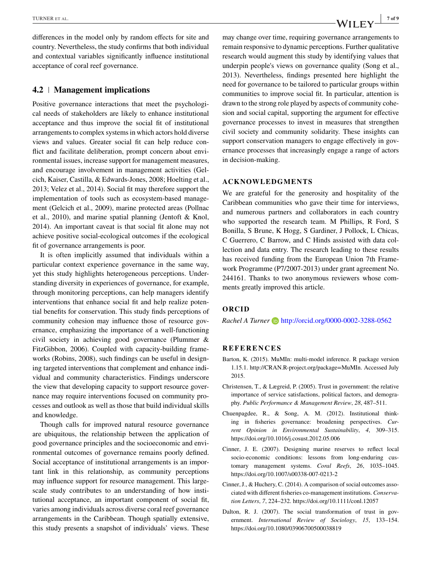differences in the model only by random effects for site and country. Nevertheless, the study confirms that both individual and contextual variables significantly influence institutional acceptance of coral reef governance.

#### **4.2 Management implications**

Positive governance interactions that meet the psychological needs of stakeholders are likely to enhance institutional acceptance and thus improve the social fit of institutional arrangements to complex systems in which actors hold diverse views and values. Greater social fit can help reduce conflict and facilitate deliberation, prompt concern about environmental issues, increase support for management measures, and encourage involvement in management activities (Gelcich, Kaiser, Castilla, & Edwards-Jones, 2008; Hoelting et al., 2013; Velez et al., 2014). Social fit may therefore support the implementation of tools such as ecosystem-based management (Gelcich et al., 2009), marine protected areas (Pollnac et al., 2010), and marine spatial planning (Jentoft & Knol, 2014). An important caveat is that social fit alone may not achieve positive social-ecological outcomes if the ecological fit of governance arrangements is poor.

It is often implicitly assumed that individuals within a particular context experience governance in the same way, yet this study highlights heterogeneous perceptions. Understanding diversity in experiences of governance, for example, through monitoring perceptions, can help managers identify interventions that enhance social fit and help realize potential benefits for conservation. This study finds perceptions of community cohesion may influence those of resource governance, emphasizing the importance of a well-functioning civil society in achieving good governance (Plummer & FitzGibbon, 2006). Coupled with capacity-building frameworks (Robins, 2008), such findings can be useful in designing targeted interventions that complement and enhance individual and community characteristics. Findings underscore the view that developing capacity to support resource governance may require interventions focused on community processes and outlook as well as those that build individual skills and knowledge.

Though calls for improved natural resource governance are ubiquitous, the relationship between the application of good governance principles and the socioeconomic and environmental outcomes of governance remains poorly defined. Social acceptance of institutional arrangements is an important link in this relationship, as community perceptions may influence support for resource management. This largescale study contributes to an understanding of how institutional acceptance, an important component of social fit, varies among individuals across diverse coral reef governance arrangements in the Caribbean. Though spatially extensive, this study presents a snapshot of individuals' views. These

may change over time, requiring governance arrangements to remain responsive to dynamic perceptions. Further qualitative research would augment this study by identifying values that underpin people's views on governance quality (Song et al., 2013). Nevertheless, findings presented here highlight the need for governance to be tailored to particular groups within communities to improve social fit. In particular, attention is drawn to the strong role played by aspects of community cohesion and social capital, supporting the argument for effective governance processes to invest in measures that strengthen civil society and community solidarity. These insights can support conservation managers to engage effectively in governance processes that increasingly engage a range of actors in decision-making.

#### **ACKNOWLEDGMENTS**

We are grateful for the generosity and hospitality of the Caribbean communities who gave their time for interviews, and numerous partners and collaborators in each country who supported the research team. M Phillips, R Ford, S Bonilla, S Brune, K Hogg, S Gardiner, J Pollock, L Chicas, C Guerrero, C Barrow, and C Hinds assisted with data collection and data entry. The research leading to these results has received funding from the European Union 7th Framework Programme (P7/2007-2013) under grant agreement No. 244161. Thanks to two anonymous reviewers whose comments greatly improved this article.

#### **ORCID**

*Rachel A Turner* **b** <http://orcid.org/0000-0002-3288-0562>

#### **REFERENCES**

- Barton, K. (2015). MuMIn: multi-model inference. R package version 1.15.1. [http://CRAN.R-project.org/package](http://CRAN.R-project.org/package=MuMIn)=MuMIn. Accessed July 2015.
- Christensen, T., & Lægreid, P. (2005). Trust in government: the relative importance of service satisfactions, political factors, and demography. *Public Performance & Management Review*, *28*, 487–511.
- Chuenpagdee, R., & Song, A. M. (2012). Institutional thinking in fisheries governance: broadening perspectives. *Current Opinion in Environmental Sustainability*, *4*, 309–315. <https://doi.org/10.1016/j.cosust.2012.05.006>
- Cinner, J. E. (2007). Designing marine reserves to reflect local socio-economic conditions: lessons from long-enduring customary management systems. *Coral Reefs*, *26*, 1035–1045. <https://doi.org/10.1007/s00338-007-0213-2>
- Cinner, J., & Huchery, C. (2014). A comparison of social outcomes associated with different fisheries co-management institutions. *Conservation Letters*, *7*, 224–232.<https://doi.org/10.1111/conl.12057>
- Dalton, R. J. (2007). The social transformation of trust in government. *International Review of Sociology*, *15*, 133–154. <https://doi.org/10.1080/03906700500038819>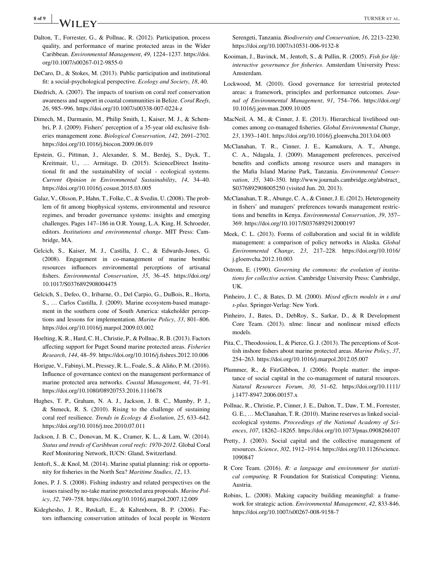## **8 of 9 TURNER ET AL.** THE STALL SERVICE SERVICE SERVICE SERVICE SERVICE SERVICE SERVICE SERVICE SERVICE SERVICE SERVICE SERVICE SERVICE SERVICE SERVICE SERVICE SERVICE SERVICE SERVICE SERVICE SERVICE SERVICE SERVICE SER

- Dalton, T., Forrester, G., & Pollnac, R. (2012). Participation, process quality, and performance of marine protected areas in the Wider Caribbean. *Environmental Management*, *49*, 1224–1237. [https://doi.](https://doi.org/10.1007/s00267-012-9855-0) [org/10.1007/s00267-012-9855-0](https://doi.org/10.1007/s00267-012-9855-0)
- DeCaro, D., & Stokes, M. (2013). Public participation and institutional fit: a social-psychological perspective. *Ecology and Society*, *18*, 40.
- Diedrich, A. (2007). The impacts of tourism on coral reef conservation awareness and support in coastal communities in Belize. *Coral Reefs*, *26*, 985–996.<https://doi.org/10.1007/s00338-007-0224-z>
- Dimech, M., Darmanin, M., Philip Smith, I., Kaiser, M. J., & Schembri, P. J. (2009). Fishers' perception of a 35-year old exclusive fisheries management zone. *Biological Conservation*, *142*, 2691–2702. <https://doi.org/10.1016/j.biocon.2009.06.019>
- Epstein, G., Pittman, J., Alexander, S. M., Berdej, S., Dyck, T., Kreitmair, U., … Armitage, D. (2015). ScienceDirect Institutional fit and the sustainability of social - ecological systems. *Current Opinion in Environmental Sustainability*, *14*, 34–40. <https://doi.org/10.1016/j.cosust.2015.03.005>
- Galaz, V., Olsson, P., Hahn, T., Folke, C., & Svedin, U. (2008). The problem of fit among biophysical systems, environmental and resource regimes, and broader governance systems: insights and emerging challenges. Pages 147–186 in O.R. Young, L.A. King, H. Schroeder, editors. *Institutions and environmental change*. MIT Press: Cambridge, MA.
- Gelcich, S., Kaiser, M. J., Castilla, J. C., & Edwards-Jones, G. (2008). Engagement in co-management of marine benthic resources influences environmental perceptions of artisanal fishers. *Environmental Conservation*, *35*, 36–45. [https://doi.org/](https://doi.org/10.1017/S0376892908004475) [10.1017/S0376892908004475](https://doi.org/10.1017/S0376892908004475)
- Gelcich, S., Defeo, O., Iribarne, O., Del Carpio, G., DuBois, R., Horta, S., … Carlos Castilla, J. (2009). Marine ecosystem-based management in the southern cone of South America: stakeholder perceptions and lessons for implementation. *Marine Policy*, *33*, 801–806. <https://doi.org/10.1016/j.marpol.2009.03.002>
- Hoelting, K. R., Hard, C. H., Christie, P., & Pollnac, R. B. (2013). Factors affecting support for Puget Sound marine protected areas. *Fisheries Research*, *144*, 48–59.<https://doi.org/10.1016/j.fishres.2012.10.006>
- Horigue, V., Fabinyi, M., Pressey, R. L., Foale, S., & Aliño, P. M. (2016). Influence of governance context on the management performance of marine protected area networks. *Coastal Management*, *44*, 71–91. <https://doi.org/10.1080/08920753.2016.1116678>
- Hughes, T. P., Graham, N. A. J., Jackson, J. B. C., Mumby, P. J., & Steneck, R. S. (2010). Rising to the challenge of sustaining coral reef resilience. *Trends in Ecology & Evolution*, *25*, 633–642. <https://doi.org/10.1016/j.tree.2010.07.011>
- Jackson, J. B. C., Donovan, M. K., Cramer, K. L., & Lam, W. (2014). *Status and trends of Caribbean coral reefs: 1970-2012*. Global Coral Reef Monitoring Network, IUCN: Gland, Switzerland.
- Jentoft, S., & Knol, M. (2014). Marine spatial planning: risk or opportunity for fisheries in the North Sea? *Maritime Studies*, *12*, 13.
- Jones, P. J. S. (2008). Fishing industry and related perspectives on the issues raised by no-take marine protected area proposals. *Marine Policy*, *32*, 749–758.<https://doi.org/10.1016/j.marpol.2007.12.009>
- Kideghesho, J. R., Røskaft, E., & Kaltenborn, B. P. (2006). Factors influencing conservation attitudes of local people in Western

Serengeti, Tanzania. *Biodiversity and Conservation*, *16*, 2213–2230. <https://doi.org/10.1007/s10531-006-9132-8>

- Kooiman, J., Bavinck, M., Jentoft, S., & Pullin, R. (2005). *Fish for life: interactive governance for fisheries*. Amsterdam University Press: Amsterdam.
- Lockwood, M. (2010). Good governance for terrestrial protected areas: a framework, principles and performance outcomes. *Journal of Environmental Management*, *91*, 754–766. [https://doi.org/](https://doi.org/10.1016/j.jenvman.2009.10.005) [10.1016/j.jenvman.2009.10.005](https://doi.org/10.1016/j.jenvman.2009.10.005)
- MacNeil, A. M., & Cinner, J. E. (2013). Hierarchical livelihood outcomes among co-managed fisheries. *Global Environmental Change*, *23*, 1393–1401.<https://doi.org/10.1016/j.gloenvcha.2013.04.003>
- McClanahan, T. R., Cinner, J. E., Kamukuru, A. T., Abunge, C. A., Ndagala, J. (2009). Management preferences, perceived benefits and conflicts among resource users and managers in the Mafia Island Marine Park, Tanzania. *Environmental Conservation*, *35*, 340–350. [http://www.journals.cambridge.org/abstract\\_](http://www.journals.cambridge.org/abstract_S0376892908005250) [S0376892908005250](http://www.journals.cambridge.org/abstract_S0376892908005250) (visited Jun. 20, 2013).
- McClanahan, T. R., Abunge, C. A., & Cinner, J. E. (2012). Heterogeneity in fishers' and managers' preferences towards management restrictions and benefits in Kenya. *Environmental Conservation*, *39*, 357– 369.<https://doi.org/10.1017/S0376892912000197>
- Meek, C. L. (2013). Forms of collaboration and social fit in wildlife management: a comparison of policy networks in Alaska. *Global Environmental Change*, *23*, 217–228. [https://doi.org/10.1016/](https://doi.org/10.1016/j.gloenvcha.2012.10.003) [j.gloenvcha.2012.10.003](https://doi.org/10.1016/j.gloenvcha.2012.10.003)
- Ostrom, E. (1990). *Governing the commons: the evolution of institutions for collective action*. Cambridge University Press: Cambridge, UK.
- Pinheiro, J. C., & Bates, D. M. (2000). *Mixed effects models in s and s-plus*. Springer-Verlag: New York.
- Pinheiro, J., Bates, D., DebRoy, S., Sarkar, D., & R Development Core Team. (2013). nlme: linear and nonlinear mixed effects models.
- Pita, C., Theodossiou, I., & Pierce, G. J. (2013). The perceptions of Scottish inshore fishers about marine protected areas. *Marine Policy*, *37*, 254–263.<https://doi.org/10.1016/j.marpol.2012.05.007>
- Plummer, R., & FitzGibbon, J. (2006). People matter: the importance of social capital in the co-management of natural resources. *Natural Resources Forum*, *30*, 51–62. [https://doi.org/10.1111/](https://doi.org/10.1111/j.1477-8947.2006.00157.x) [j.1477-8947.2006.00157.x](https://doi.org/10.1111/j.1477-8947.2006.00157.x)
- Pollnac, R., Christie, P., Cinner, J. E., Dalton, T., Daw, T. M., Forrester, G. E., … McClanahan, T. R. (2010). Marine reserves as linked socialecological systems. *Proceedings of the National Academy of Sciences*, *107*, 18262–18265.<https://doi.org/10.1073/pnas.0908266107>
- Pretty, J. (2003). Social capital and the collective management of resources. *Science*, *302*, 1912–1914. [https://doi.org/10.1126/science.](https://doi.org/10.1126/science.1090847) [1090847](https://doi.org/10.1126/science.1090847)
- R Core Team. (2016). *R: a language and environment for statistical computing*. R Foundation for Statistical Computing: Vienna, Austria.
- Robins, L. (2008). Making capacity building meaningful: a framework for strategic action. *Environmental Management*, *42*, 833-846. <https://doi.org/10.1007/s00267-008-9158-7>